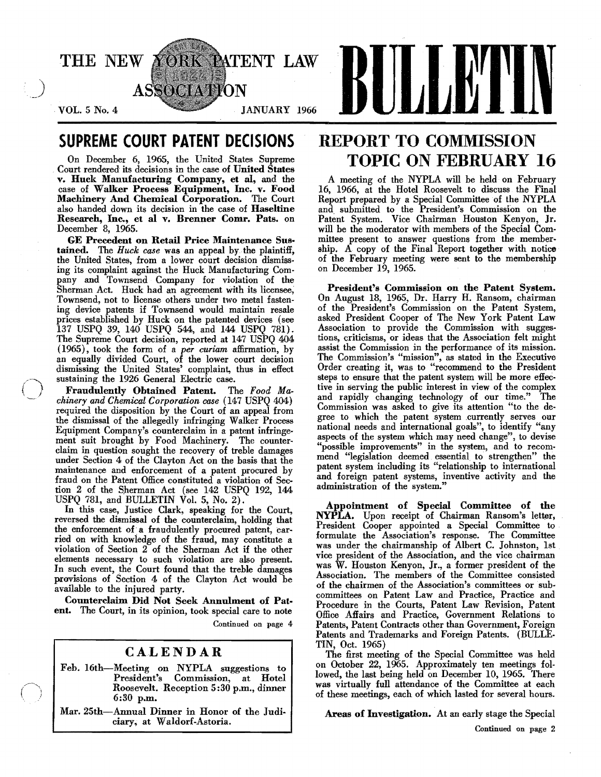

## SUPREME COURT PATENT DECISIONS

On December 6, 1965, the United States Supreme Court rendered its decisions in the case of United States v. Huck Mauufacturing Company, et aI, and the case of Walker Process Equipment, Inc. v. Food Machinery And Chemical Corporation. The Court also handed down its decision in the case of Haseltine Research, Inc., et al v. Brenner Comr. Pats. on December 8, 1965.

GE Precedent on Retail Price Maintenance Sustained. The *Huck case* was an appeal by the plaintiff, the United States, from a lower court decision dismissing its complaint against the Huck Manufacturing Company and Townsend Company for violation of the Sherman Act. Huck had an agreement with its licensee, Townsend, not to license others under two metal fastening device patents if Townsend would maintain resale prices established by Huck on the patented devices (see 137 USPQ 39, 140 USPQ 544, and 144 USPQ 781). The Supreme Court decision, reported at 147 USPQ 404 (1965), took the form of a *per curiam* affirmation, by an equally divided Court, of the lower court decision dismissing the United States' complaint, thus in effect sustaining the 1926 General Electric case.

Fraudulently Obtained Patent. The *Food Machinery and Chemical Corporation case* (147 USPQ 404) required the disposition by the Court of an appeal from the dismissal of the allegedly infringing Walker Process EqUipment Company's counterclaim in a patent infringement suit brought by Food Machinery. The counterclaim in question sought the recovery of treble damages under Section 4 of the Clayton Act on the basis that the maintenance and enforcement of a patent procured by fraud on the Patent Office constituted a violation of Section 2 of the Sherman Act (see 142 USPQ 192, 144 USPQ 781, and BULLETIN  $\dot{V}$ ol. 5, No. 2).

In this case, Justice Clark, speaking for the Court, reversed the dismissal of the counterclaim, holding that the enforcement of a fraudulently procured patent, carried on with knowledge of the fraud, may constitute a violation of Section 2 of the Sherman Act if the other elements necessary to such violation are also present. In such event, the Court found that the treble damages provisions of Section 4 of the Clayton Act would be available to the injured party.

Counterclaim Did Not Seek Annulment of Patent. The Court, in its opinion, took special care to note Continued on page 4

## CALENDAR

- Feb. 16th-Meeting on NYPLA suggestions to President's Commission, at Hotel Roosevelt. Reception 5:30 p.m., dinner 6:30 p.m.
- Mar. 25th-Annual Dinner in Honor of the Judiciary, at Waldorf-Astoria.

## REPORT TO COMMISSION TOPIC ON FEBRUARY 16

A meeting of the NYPLA will be held on February 16, 1966, at the Hotel Roosevelt to discuss the Final Report prepared by a Special Committee of the NYPLA and submitted to the President's Commission on the Patent System. Vice Chairman Houston Kenyon, Jr. will be the moderator with members of the Special Committee present to answer questions from the membership. A copy of the Final Report together with notice of the February meeting were sent to the membership on December 19, 1965.

President's Commission on the Patent System. On August 18, 1965, Dr. Harry H. Ransom, chairman of the President's Commission on the Patent System, asked President Cooper of The New York Patent Law Association to provide the Commission with suggestions, criticisms, or ideas that the Association felt might assist the Commission in the performance of its mission. The Commission's "mission", as stated in the Executive Order creating it, was to "recommend to the President steps to ensure that the patent system will be more effective in serving the public interest in view of the complex and rapidly changing technology of our time." The Commission was asked to give its attention "to the degree to which the patent system .currently serves our national needs and international goals", to identify "any aspects of the system which may need change", to devise "possible improvements" in the system, and to recom· mend "legislation deemed essential to strengthen" the patent system including its "relationship to international and foreign patent systems, inventive activity and the administration of the system."

Appointment of Special Committee of the  $NYPLA.$  Upon receipt of Chairman Ransom's letter, President Cooper appointed a Special Committee to formulate the Association's response. The Committee was under the chairmanship of Albert C. Johnston, 1st vice president of the Association, and the vice chairman was W. Houston Kenyon, Jr., a former president of the Association. The members of the Committee consisted of the chairmen of the Association's committees or subcommittees on Patent Law and Practice, Practice and Procedure in the Courts, Patent Law Revision, Patent Office Affairs and Practice, Government Relations to Patents, Patent Contracts other than Government, Foreign Patents and Trademarks and Foreign Patents. (BULLE. TIN, Oct. 1965)

The first meeting of the Special Committee was held on October 22, 1965. Approximately ten meetings followed, the last being held on December 10, 1965. There was virtually full attendance of the Committee at each of these meetings, each of which lasted for several hours.

#### Areas of Investigation. At an early stage the Special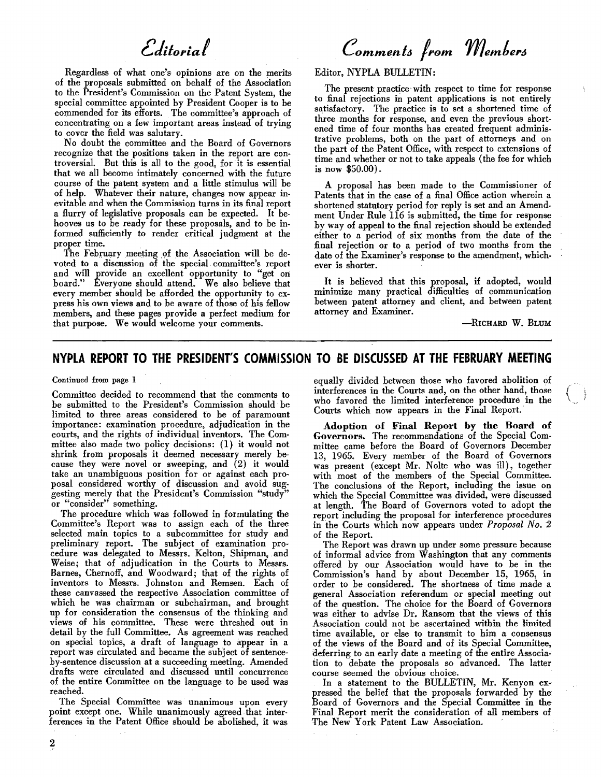# *edUol'ial*

Regardless of what one's opinions are on the merits of the proposals submitted on behalf of the Association to the President's Commission on the Patent System, the special committee appointed by President Cooper is to be commended for its efforts. The committee's approach of concentrating on a few important areas instead of trying to cover the field was salutary.

No doubt the committee and the Board of Governors recognize that the positions taken in the report are controversial. But this is all to the good, for it is essential that we all become intimately concerned with the future course of the patent system and a little stimulus will be of help. Whatever their nature, changes now appear inevitable and when the Commission turns in its final report a flurry of legislative proposals can be expected. It be· hooves us to be ready for these proposals, and to be informed sufficiently to render critical judgment at the proper time. .

The February meeting of the Association will be devoted to a discussion of the special. committee's report and will provide an excellent opportunity to "get on board." Everyone should attend. We also believe that every member should be afforded the opportunity to express his own views and to be aware of those of his fellow members, and these pages provide a perfect medium for that purpose. We would welcome your comments.

*Comments from Members* 

Editor, NYPLA BULLETIN:

The present practice' with respect to time for response to final rejections in patent applications is not entirely satisfactory. The practice is to set a shortened time of three months for response, and even the previous short· ened time of four months has created frequent adminis· trative problems, both on the part of attorneys and on the part of the Patent Office, with respect to extensions of time and whether or not to take appeals (the fee for which is now \$50.00).

A proposal has been made to the Commissioner of Patents that in the case of a final Office action wherein a shortened statutory period for reply is set and an Amendment Under Rule 116 is submitted, the time for response by way of appeal to the final rejection should be extended either to a period of six months from the date of the final rej ection or to a period of two months from the date of the Examiner's response to the amendment, whichever is shorter.

It is believed that this proposal, if adopted, would minimize many practical difficulties of communication between patent attorney and client, and between patent attorney and Examiner.

-RICHARD W. BLUM

## **NYPLA REPORT TO THE PRESIDENT'S COMMISSION TO BE DISCUSSED AT THE FEBRUARY MEETING**

Continued from page 1

Committee decided to recommend that the comments to be submitted to the President's Commission should' be limited to three areas considered to be of paramount importance: examination procedure, adjudication in the courts, and the rights of individual inventors. The Com· mittee also made two policy decisions: (1) it would not shrink from proposals it deemed necessary merely be· cause they were novel or sweeping, and (2) it would take an unambiguous position for or against each proposal considered worthy of discussion and avoid suggesting merely that the President's Commission "study" or "consider" something.

The procedure which was followed in formulating the Committee's Report was to assign each of the three selected main topics to a subcommittee for study and preliminary report. The subject of examination procedure was delegated to Messrs. Kelton, Shipman,. and Weise; that of adjudication in the Courts to Messrs. Barnes, Chernoff, and Woodward; that of the rights of inventors to Messrs. Johnston and Remsen. Each of these canvassed the respective Association committee of which he was chairman or subchairman, and brought up for consideration the consensus of the thinking and views of his committee. These were threshed out in detail by the full Committee. As agreement was reached on special topics, a draft of language to appear in a report was circulated and became the subject of sentence· by·sentence discussion at a succeeding meeting. Amended drafts were circulated and discussed until concurrence of the entire Committee on the language to be used was reached.

The Special Committee was unanimous upon every point except one. While unanimously agreed. that interferences in the Patent Office should be abolished, it was

equally divided between those who favored abolition of interferences in the Courts and, on the other hand, those who favored the limited interference procedure in the Courts which now appears in the Final Report.

Adoption of Final Report by the Board of Governors. The recommendations of the Special Committee came before the Board of Governors December 13, 1965. Every member of the Board of Governors was present (except Mr. Nolte who was ill), together with most of the members of the Special Committee. The conclusions of the Report, including the issue on which the Special Committee was divided, were discussed at length. The Board of Governors voted to adopt the report including the proposal for interference procedures in the Courts which now appears under *Proposal No.2*  of the Report.

The Report was drawn up under some pressure because of informal advice from Washington that any comments offered by our Association would have to be in the Commission's hand by about December 15, 1965, in order to be considered. The shortness of time made a general Association referendum or special meeting out of the question. The choice for the Board of Governors was either to advise Dr. Ransom that the views of this Association could not be ascertained within the limited time available, or else to transmit to him a consensus of the views of the Board and of its Special Committee, deferring to an early date a meeting of the entire Association to debate the proposals so advanced. The latter course seemed the obvious choice.

In a statement to the BULLETIN, Mr. Kenyon expressed the belief that the proposals forwarded by the Board of Governors and the Special Committee in the Final Report merit the consideration of all members of The New York Patent Law Association.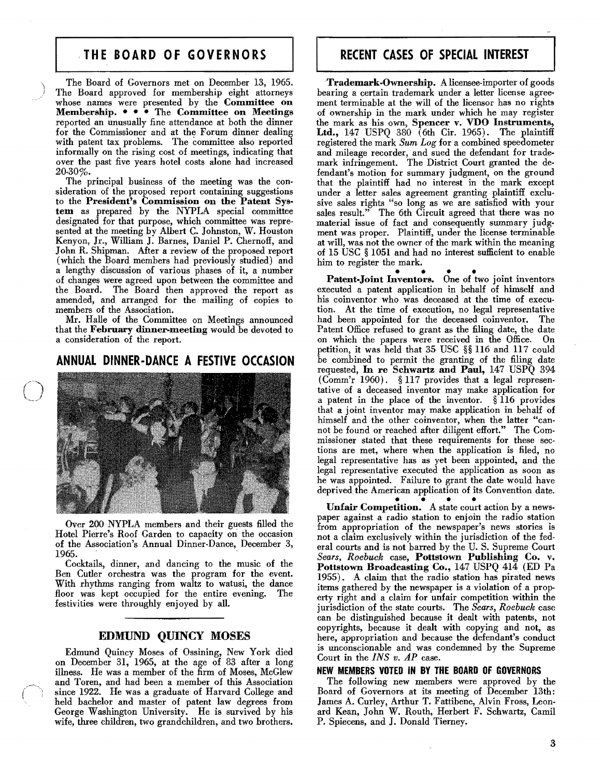## ·**THE BOARD OF GOVERNORS**

The Board of Governors met on December 13, 1965. The Board approved for membership eight attorneys whose names were presented by the Committee on Membership.  $\bullet \bullet \bullet$  The Committee on Meetings reported an unusually fine attendance at both the dinner for the Commissioner and at the Forum dinner dealing with patent tax problems. The committee also reported informally on the rising cost of meetings, indicating that over the past five years hotel costs alone had increased 20.30%.

The principal business of the meeting was the con· sideration of the proposed report containing suggestions to the President's Commission on the Patent System as prepared by the NYPLA special committee designated for that purpose, which committee was represented at the meeting by Albert C. Johnston, W. Houston Kenyon, Jr., William J. Barnes, Daniel P. Chernoff, and John R. Shipman. After a review of the proposed report (which the Board members had previously studied) and a lengthy discussion of various phases of it, a number of changes were agreed upon between the committee and the Board. The Board then approved the report as amended, and arranged for the mailing of copies to members of the Association.

Mr. Halle of the Committee on Meetings announced that the February dinner-meeting would be devoted to a consideration of the report.

## **ANNUAL DINNER-DANCE A FESTIVE OCCASION**



Over 200 NYPLA members and their guests filled the Hotel Pierre's Roof Garden to capacity on the occasion of the Association's Annual Dinner-Dance, December 3,  $1965.$ 

Cocktails, dinner, and dancing to the music of the Ben Cutler orchestra was the program for the event. With rhythms ranging from waltz to watusi, the dance floor was kept occupied for the entire evening. The festivities were throughly enjoyed by all.

#### EDMUND QUINCY MOSES

Edmund Quincy Moses of Ossining, New York died on December 31, 1965, at the age of 83 after a long illness. He was a member of the firm of Moses, McGlew and Toren, and had been a member of this Association since 1922. He was a graduate of Harvard College and held hachelor and master of patent law degrees from George Washington University. He is survived by his wife, three children, two grandchildren, and two brothers.

## **RECENT CASES OF SPECIAL INTEREST**

Trademark-Ownership. A licensee-importer of goods bearing a certain trademark under a letter license agreement terminable at the will of the licensor has no rights of ownership in the mark under which he may register the mark as his own, Spencer v. VDO Instruments, Ltd., 147 USPQ 380 (6th Cir. 1965). The plaintiff registered the mark *Sum Log* for a combined speedometer and mileage recorder, and sued the defendant for trademark infringement. The District Court granted the defendant's motion for summary judgment, on the ground that the plaintiff had no interest in the mark except under a letter sales agreement granting plaintiff exclusive sales rights "so long as we are satisfied with your sales result." The 6th Circuit agreed that there was no material issue of fact and consequently summary judgment was proper. Plaintiff, under the license terminable at will, was not the owner of the mark within the meaning of 15 USC § 1051 and had no interest sufficient to enable him to register the mark.

Patent-Joint Inventors. One of two joint inventors executed a patent application in behalf of himself and his coinventor who was deceased at the time of execution. At the time of execution, no legal representative had been appointed for the deceased coinventor. The Patent Office refused to grant as the filing date, the date on which the papers were received in the Office. On petition, it was held that 35 USC §§ 116 and 117 could be combined to permit the granting of the filing date requested, In re Schwartz and Paul, 147 USPQ 394 ( Comm'r 1960). § 117 provides that a legal representative of a deceased inventor may make application for a patent in the place of the inventor. § 116 provides that a joint inventor may make application in behalf of himself and the other coinventor, when the latter "cannot be found or reached after diligent effort." The Commissioner stated that these requirements for these sections are met, where when the application is filed, no legal representative has as yet been appointed, and the legal representative executed the application as soon as he was appointed. Failure to grant the date would have deprived the American application of its Convention date.

prived the American application of its Convention date.<br>Unfair Competition. A state court action by a news-<br>non-against a predio station to opin the redio station paper against a radio station to enjoin the radio station from appropriation of the newspaper's news stories is not a claim exclusively within the jurisdiction of the federal courts and is not barred by the U. S. Supreme Court *Sears, Roebuck* case, Pottstown Publishing Co. v. Pottstown Broadcasting Co., 147 USPQ 414 (ED Pa 1955). A claim that the radio station has pirated news items gathered by the newspaper is a violation of a property right and a claim for unfair competition within the jurisdiction of the state courts. The *Sears, Roebuck* case can be distinguished because it dealt with patents, not copyrights, because it dealt with copying and not, as here, appropriation and because the defendant's conduct is unconscionable and was condemned by the Supreme Court in the *INS v. AP* case.

#### NEW MEMBERS VOTED IN BY THE BOARD OF GOVERNORS

The following new members were approved by the Board of Governors at its meeting of December 13th: James A. Curley, Arthur T. Fattibene, Alvin Fross, Leonard Kean, John W. Routh, Herbert F. Schwartz, Cami! P. Spiecens, and J. Donald Tierney.